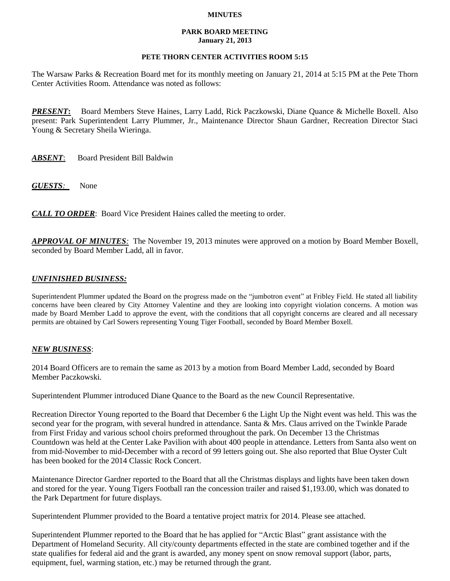### **MINUTES**

#### **PARK BOARD MEETING January 21, 2013**

### **PETE THORN CENTER ACTIVITIES ROOM 5:15**

The Warsaw Parks & Recreation Board met for its monthly meeting on January 21, 2014 at 5:15 PM at the Pete Thorn Center Activities Room. Attendance was noted as follows:

*PRESENT***:** Board Members Steve Haines, Larry Ladd, Rick Paczkowski, Diane Quance & Michelle Boxell. Also present: Park Superintendent Larry Plummer, Jr., Maintenance Director Shaun Gardner, Recreation Director Staci Young & Secretary Sheila Wieringa.

*ABSENT*: Board President Bill Baldwin

*GUESTS:*None

*CALL TO ORDER*: Board Vice President Haines called the meeting to order.

*APPROVAL OF MINUTES:* The November 19, 2013 minutes were approved on a motion by Board Member Boxell, seconded by Board Member Ladd, all in favor.

# *UNFINISHED BUSINESS:*

Superintendent Plummer updated the Board on the progress made on the "jumbotron event" at Fribley Field. He stated all liability concerns have been cleared by City Attorney Valentine and they are looking into copyright violation concerns. A motion was made by Board Member Ladd to approve the event, with the conditions that all copyright concerns are cleared and all necessary permits are obtained by Carl Sowers representing Young Tiger Football, seconded by Board Member Boxell.

## *NEW BUSINESS*:

2014 Board Officers are to remain the same as 2013 by a motion from Board Member Ladd, seconded by Board Member Paczkowski.

Superintendent Plummer introduced Diane Quance to the Board as the new Council Representative.

Recreation Director Young reported to the Board that December 6 the Light Up the Night event was held. This was the second year for the program, with several hundred in attendance. Santa & Mrs. Claus arrived on the Twinkle Parade from First Friday and various school choirs preformed throughout the park. On December 13 the Christmas Countdown was held at the Center Lake Pavilion with about 400 people in attendance. Letters from Santa also went on from mid-November to mid-December with a record of 99 letters going out. She also reported that Blue Oyster Cult has been booked for the 2014 Classic Rock Concert.

Maintenance Director Gardner reported to the Board that all the Christmas displays and lights have been taken down and stored for the year. Young Tigers Football ran the concession trailer and raised \$1,193.00, which was donated to the Park Department for future displays.

Superintendent Plummer provided to the Board a tentative project matrix for 2014. Please see attached.

Superintendent Plummer reported to the Board that he has applied for "Arctic Blast" grant assistance with the Department of Homeland Security. All city/county departments effected in the state are combined together and if the state qualifies for federal aid and the grant is awarded, any money spent on snow removal support (labor, parts, equipment, fuel, warming station, etc.) may be returned through the grant.